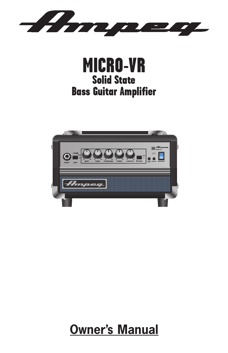





## **Owner's Manual**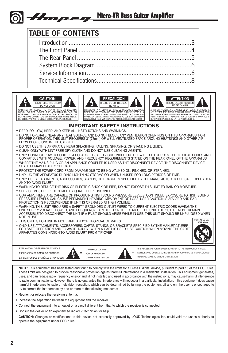#### Micro-VR Bass Guitar Amplifier Hmpeg.

# **TABLE OF CONTENTS**

| IDLE UF UUNTENTJ |  |
|------------------|--|
|                  |  |
|                  |  |
|                  |  |
|                  |  |
|                  |  |
|                  |  |
|                  |  |





PRECAUCION: PARA REDUCIR EL RIESGO DE INCENDIOS O DESCARGAS ELECTRICAS, NO PERMITA QUE ESTE APARATO QUEDE EXPUESTO A LA LLUVIA O LA HUMEDAD. PARA DISMINUOIR EL RIESGO DE CORRIENTAZO. NO ABRA LA CUBIERTA. NO HAY PIEZAS ADENTRO QUE EL USARIO PUEDO REPARAR DEJE TODO MANTENIMIENTO A LOS TECHNICOS CALIFICADOS.



#### **IMPORTANT SAFETY INSTRUCTIONS**

- **•** READ, FOLLOW, HEED, AND KEEP ALL INSTRUCTIONS AND WARNINGS.
- **•** DO NOT OPERATE NEAR ANY HEAT SOURCE AND DO NOT BLOCK ANY VENTILATION OPENINGS ON THIS APPARATUS. FOR PROPER OPERATION, THIS UNIT REQUIRES 3" (75mm) OF WELL VENTILATED SPACE AROUND HEATSINKS AND OTHER AIR FLOW PROVISIONS IN THE CABINET.
- **•** DO NOT USE THIS APPARATUS NEAR SPLASHING, FALLING, SPRAYING, OR STANDING LIQUIDS.
- **•** CLEAN ONLY WITH LINT-FREE DRY CLOTH AND DO NOT USE CLEANING AGENTS.
- **•** ONLY CONNECT POWER CORD TO A POLARIZED, SAFETY GROUNDED OUTLET WIRED TO CURRENT ELECTRICAL CODES AND COMPATIBLE WITH VOLTAGE, POWER, AND FREQUENCY REQUIREMENTS STATED ON THE REAR PANEL OF THE APPARATUS. WHERE THE MAINS PLUG OR AN APPLIANCE COUPLER IS USED AS THE DISCONNECT DEVICE. THE DISCONNECT DEVICE
- SHALL REMAIN READILY OPERABLE. **•** PROTECT THE POWER CORD FROM DAMAGE DUE TO BEING WALKED ON, PINCHED, OR STRAINED.
- 
- **•** UNPLUG THE APPARATUS DURING LIGHTNING STORMS OR WHEN UNUSED FOR LONG PERIODS OF TIME. **•** ONLY USE ATTACHMENTS, ACCESSORIES, STANDS, OR BRACKETS SPECIFIED BY THE MANUFACTURER FOR SAFE OPERATION AND TO AVOID INJURY.
- **•** WARNING: TO REDUCE THE RISK OF ELECTRIC SHOCK OR FIRE, DO NOT EXPOSE THIS UNIT TO RAIN OR MOISTURE.
- **•** SERVICE MUST BE PERFORMED BY QUALIFIED PERSONNEL.
- OUR AMPLIFIERS ARE CAPABLE OF PRODUCING HIGH SOUND PRESSURE LEVELS. CONTINUED EXPOSURE TO HIGH SOUND PRESSURE LEVELS CAN CAUSE PERMANENT HEARING IMPAIRMENT OR LOSS. USER CAUTION IS ADVISED AND EAR PROTECTION IS RECOMMENDED IF UNIT IS OPERATED AT HIGH VOLUME.
- • WARNING: THIS UNIT REQUIRES A SAFETY GROUNDED OUTLET WIRED TO CURRENT ELECTRIC CODES HAVING THE LINE SUPPLY VOLTAGE, POWER, AND FREQUENCY IDENTIFIED ON THE REAR OF THE UNIT. THE OUTLET MUST REMAIN ACCESSIBLE TO DISCONNECT THE UNIT IF A FAULT SHOULD ARISE WHILE IN USE. THIS UNIT SHOULD BE UNPLUGGED WHEN NOT IN USE. **PORTABLE CART**
- THIS UNIT IS FOR USE IN MODERATE AND/OR TROPICAL CLIMATES.
- ONLY USE ATTACHMENTS, ACCESSORIES, CARTS, STANDS, OR BRACKETS SPECIFIED BY THE MANUFACTURER FOR SAFE OPERATION AND TO AVOID INJURY. WHEN A CART IS USED, USE CAUTION WHEN MOVING THE CART/ APPARATUS COMBINATION TO AVOID INJURY FROM TIP-OVER.



EXPLANATION OF GRAPHICAL SYMBOLS: EXPLICACION DE SIMBOLOS GRAFICOS: EXPLICATION DES SYMBÔLES GRAPHIQUES:





"IT IS NECESSARY FOR THE USER TO REFER TO THE INSTRUCTION MANUAL" "ES NECESARIO QUE EL USUARIO SE REFIERA AL MANUAL DE INSTRUCCIONES." "REFERREZ-VOUS AU MANUAL D'UTILISATION"

**NOTE:** This equipment has been tested and found to comply with the limits for a Class B digital device, pursuant to part 15 of the FCC Rules. These limits are designed to provide reasonable protection against harmful interference in a residential installation. This equipment generates, uses, and can radiate radio frequency energy and, if not installed and used in accordance with the instructions, may cause harmful interference to radio communications. However, there is no guarantee that interference will not occur in a particular installation. If this equipment does cause harmful interference to radio or television reception, which can be determined by turning the equipment off and on, the user is encouraged to try to correct the interference by one or more of the following measures:

- Reorient or relocate the receiving antenna.
- Increase the separation between the equipment and the receiver.
- • Connect the equipment into an outlet on a circuit different from that to which the receiver is connected.
- Consult the dealer or an experienced radio/TV technician for help.

**CAUTION:** Changes or modifications to this device not expressly approved by LOUD Technologies Inc. could void the user's authority to operate the equipment under FCC rules.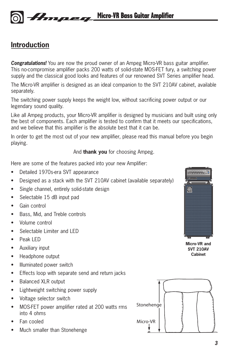## **Introduction**

*Congratulations!* You are now the proud owner of an Ampeg Micro-VR bass guitar amplifier. This no-compromise amplifier packs 200 watts of solid-state MOS-FET fury, a switching power supply and the classical good looks and features of our renowned SVT Series amplifier head.

The Micro-VR amplifier is designed as an ideal companion to the SVT 210AV cabinet, available separately.

The switching power supply keeps the weight low, without sacrificing power output or our legendary sound quality.

Like all Ampeg products, your Micro-VR amplifier is designed by musicians and built using only the best of components. Each amplifier is tested to confirm that it meets our specifications, and we believe that this amplifier is the absolute best that it can be.

In order to get the most out of your new amplifier, please read this manual before you begin playing.

And **thank you** for choosing Ampeg.

Here are some of the features packed into your new Amplifier:

- Detailed 1970s-era SVT appearance
- Designed as a stack with the SVT 210AV cabinet (available separately)
- Single channel, entirely solid-state design
- Selectable 15 dB input pad
- Gain control
- Bass, Mid, and Treble controls
- Volume control
- Selectable Limiter and LED
- Peak LED
- Auxiliary input
- Headphone output
- Illuminated power switch
- Effects loop with separate send and return jacks
- Balanced XLR output
- Lightweight switching power supply
- Voltage selector switch
- MOS-FET power amplifier rated at 200 watts rms into 4 ohms
- Fan cooled
- Much smaller than Stonehenge



**Micro-VR and SVT 210AV Cabinet**

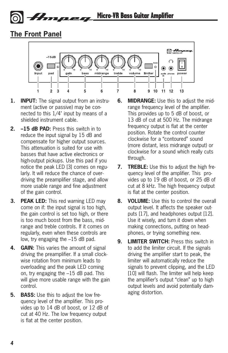Micro-VR Bass Guitar Amplifier Amneg

## **The Front Panel**



- **1. INPUT:** The signal output from an instrument (active or passive) may be connected to this 1/4" input by means of a shielded instrument cable.
- **2. –15 dB PAD:** Press this switch in to reduce the input signal by 15 dB and compensate for higher output sources. This attenuation is suited for use with basses that have active electronics or high-output pickups. Use this pad if you notice the peak LED [3] comes on regularly. It will reduce the chance of overdriving the preamplifier stage, and allow more usable range and fine adjustment of the gain control.
- **3. PEAK LED:** This red warning LED may come on if: the input signal is too high, the gain control is set too high, or there is too much boost from the bass, midrange and treble controls. If it comes on regularly, even when these controls are low, try engaging the –15 dB pad.
- **4. GAIN:** This varies the amount of signal driving the preamplifier. If a small clockwise rotation from minimum leads to overloading and the peak LED coming on, try engaging the –15 dB pad. This will give more usable range with the gain control.
- **5. BASS:** Use this to adjust the low frequency level of the amplifier. This provides up to 14 dB of boost, or 12 dB of cut at 40 Hz. The low frequency output is flat at the center position.
- **6. MIDRANGE:** Use this to adjust the midrange frequency level of the amplifier. This provides up to 5 dB of boost, or 13 dB of cut at 500 Hz. The midrange frequency output is flat at the center position. Rotate the control counter clockwise for a "contoured" sound (more distant, less midrange output) or clockwise for a sound which really cuts through.
- **7. TREBLE:** Use this to adjust the high frequency level of the amplifier. This provides up to 19 dB of boost, or 25 dB of **14 15 16 17 18 19 20** cut at 8 kHz. The high frequency output is flat at the center position.
	- **8. VOLUME:** Use this to control the overall output level. It affects the speaker outputs [17], and headphones output [12]. Use it wisely, and turn it down when making connections, putting on headphones, or trying something new.
	- **9. LIMITER SWITCH:** Press this switch in to add the limiter circuit. If the signals driving the amplifier start to peak, the limiter will automatically reduce the signals to prevent clipping, and the LED [10] will flash. The limiter will help keep the amplifier's output "clean" up to high output levels and avoid potentially damaging distortion.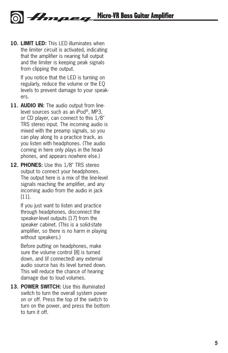**10. LIMIT LED:** This LED illuminates when the limiter circuit is activated, indicating that the amplifier is nearing full output and the limiter is keeping peak signals from clipping the output.

> If you notice that the LED is turning on regularly, reduce the volume or the EQ levels to prevent damage to your speakers.

- **11. AUDIO IN:** The audio output from linelevel sources such as an iPod®, MP3, or CD player, can connect to this 1/8" TRS stereo input. The incoming audio is mixed with the preamp signals, so you can play along to a practice track, as you listen with headphones. (The audio coming in here only plays in the headphones, and appears nowhere else.)
- **12. PHONES:** Use this 1/8" TRS stereo output to connect your headphones. The output here is a mix of the line-level signals reaching the amplifier, and any incoming audio from the audio in jack [11].

If you just want to listen and practice through headphones, disconnect the speaker-level outputs [17] from the speaker cabinet. (This is a solid-state amplifier, so there is no harm in playing without speakers.)

Before putting on headphones, make sure the volume control [8] is turned down, and (if connected) any external audio source has its level turned down. This will reduce the chance of hearing damage due to loud volumes.

**13. POWER SWITCH:** Use this illuminated switch to turn the overall system power on or off. Press the top of the switch to turn on the power, and press the bottom to turn it off.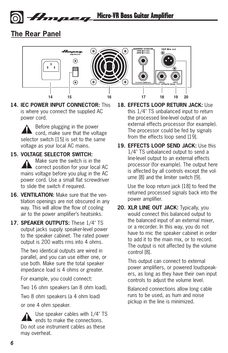## **The Rear Panel**



**14. IEC POWER INPUT CONNECTOR:** This is where you connect the supplied AC power cord.

Ampeg

Before plugging in the power cord, make sure that the voltage selector switch [15] is set to the same voltage as your local AC mains.

#### **15. VOLTAGE SELECTOR SWITCH:**

Make sure the switch is in the correct position for your local AC mains voltage before you plug in the AC power cord. Use a small flat screwdriver to slide the switch if required.

- **16. VENTILATION:** Make sure that the ventilation openings are not obscured in any way. This will allow the flow of cooling air to the power amplifier's heatsinks.
- **17. SPEAKER OUTPUTS:** These 1/4" TS output jacks supply speaker-level power to the speaker cabinet. The rated power output is 200 watts rms into 4 ohms.

The two identical outputs are wired in parallel, and you can use either one, or use both. Make sure the total speaker impedance load is 4 ohms or greater.

For example, you could connect:

Two 16 ohm speakers (an 8 ohm load),

Two 8 ohm speakers (a 4 ohm load)

or one 4 ohm speaker.

Use speaker cables with 1/4" TS ends to make the connections. Do not use instrument cables as these may overheat.

- **18. EFFECTS LOOP RETURN JACK:** Use this 1/4" TS unbalanced input to return the processed line-level output of an external effects processor (for example). The processor could be fed by signals from the effects loop send [19].
- **19. EFFECTS LOOP SEND JACK:** Use this 1/4" TS unbalanced output to send a line-level output to an external effects processor (for example). The output here is affected by all controls except the volume [8] and the limiter switch [9].

Use the loop return jack [18] to feed the returned processed signals back into the power amplifier.

**20. XLR LINE OUT JACK:** Typically, you would connect this balanced output to the balanced input of an external mixer, or a recorder. In this way, you do not have to mic the speaker cabinet in order to add it to the main mix, or to record. The output is not affected by the volume control [8].

> This output can connect to external power amplifiers, or powered loudspeakers, as long as they have their own input controls to adjust the volume level.

Balanced connections allow long cable runs to be used, as hum and noise pickup in the line is minimized.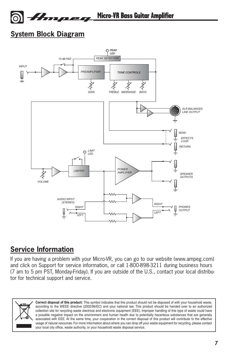

**System Block Diagram**



## **Service Information**

If you are having a problem with your Micro-VR, you can go to our website (www.ampeg.com) and click on Support for service information, or call 1-800-898-3211 during business hours (7 am to 5 pm PST, Monday-Friday). If you are outside of the U.S., contact your local distributor for technical support and service.



**Correct disposal of this product:** This symbol indicates that this product should not be disposed of with your household waste, according to the WEEE directive (2002/96/EC) and your national law. This product should be handed over to an authorized collection site for recycling waste electrical and electronic equipment (EEE). Improper handling of this type of waste could have a possible negative impact on the environment and human health due to potentially hazardous substances that are generally associated with EEE. At the same time, your cooperation in the correct disposal of this product will contribute to the effective usage of natural resources. For more information about where you can drop off your waste equipment for recycling, please contact your local city office, waste authority, or your household waste disposal service.